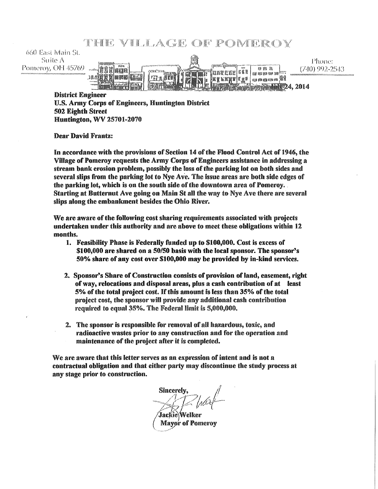THE VILLAGE OF POMEROY

 $660$  East Main St. Suite A Phone: ww.Tr Pomeroy, OH 45769 **NB 8** (740) 992-2543 (anggoe | 660 111a - 11 1日月 unamn<sup>11</sup> **ETEITT** 720 | Kare<br>720 | Kaya 4,2014

District Engineer U.S. Army Corps of Engineers, Huntington District 502 Eighth Street Huntington,  $WV 25701 - 2070$ 

Dear David Frantz:

In accordance with the provisions of Section 14 of the Flood Control Act of 1946, the Village of Pomeroy requests the Army Corps of Engineers assistance in addressing a stream bank erosion problem, possibly the loss of the parking lot on both sides and several slips from the parking lot to Nye Ave. The issue areas are both side edges of the parking lot, which is on the south side of the downtown area of Pomeroy. Starting at Butternut Ave going on Main St all the way to Nye Ave there are several slips along the embankment besides the Ohio River.

We are aware of the following cost sharing requirements associated with projects undertaken under this authority and are above to meet these obligations within 12 months.

- l. Feasibility Phase is Federally funded up to \$100,000. Cost is excess of **\$100,000** are shared on a 50/50 basis with the local sponsor. The sponsor's 50% share of any cost over **\$100,000** may be provided by in-kind services.
- 2. Sponsor's Share of Construction consists of provision of land, easement, right of way, relocations and disposal areas, plus a cash contribution of at least 5% of the total. project cost. *H* this amount is less than 35% of the total project cost, the sponsor will provide any additional cash contribution required to equal 35%. The Federal Umit is 5,000,000.
- 2. The sponsor is responsible for removal of all hazardous, toxic, and radioactive wastes prior to any construction and for the operation and maintenance of the project after it is completed.

We are aware that this letter serves as an expression of intent and is not a contractual obligation and that either party may discontinue the study process at any stage prior to construction.

**Sincerely** 

Jackie\Welker **Mayor of Pomeroy**